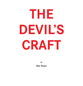# **THE DEVIL'S CRAFT**

**by**

**Roy Pugh**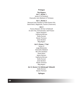#### **Prologue**

#### **The Players Act 1, Scene 1**

James VI of Scotland Chancellor John Maitland of Thirlstane

## **Act 1, Scene 2**

Reverend John Davidson of Salt Preston Kirk David Seton, Magistrate, Tranent (Travernent)

#### **Act 2**

Francis Stewart, 5th Earl of Bothwell Dr John Fian, Schoolmaster, Salt Preston Agnes Sampson Euphemia McLean Geilie Duncan Bessie Thomson Janet Stratton Meg Bogton

## **Act 3, Scene 1 Trial**

James VI Judge Blinksheils Chancellor Maitland Rev John Davidson David Seton Agnes Samson Euphemia McLean Geilie Duncan Janet Stratton Bessie Thomson Meg Bogton

## **Act 3, Scene 2 In Edinburgh Tolbooth**

Geilie Duncan Bessie Thomson

## **Epilogue**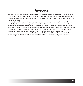## **Prolouge**

It is the year 1589. James VI, King of Scotland awaits anxiously the arrival of his bride Anne of Denmark. Great storms force the Danish fleet carrying Anne to Norway. James decides to sail himself to bring her to Scotland. Further storms nearly swamp his vessel; the royal couple are obliged to remain in Denmark until the Spring of 1590.

During the King's absence, Scotland is rent with rumours of a Catholic uprising led by Earls Bothwell and Huntly. These rumours are largely the work of Chancellor Maitland in what has become a bitter political feud between himself and Bothwell. Maitland circulated a rumour that Bothwell dabbles in the Black Arts, is head of a large coven of witches and warlocks who regularly meet in the ruined Kirk at North Berwick. Blame for the terrible storms is put on Bothwell and his coven, known as the North Berwick Witches. Of the 120 members of the coven, over 50 are from Salt Preston [Prestonpans].

When the royal couple arrive in Scotland in May 1590, the seeds of Bothwell's supposed rebellion are now bearing fruit. At first James VI believes that Bothwell and his coven are guilty of treason, then he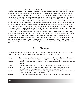changes his mind. It is the Devil's Craft, with Bothwell named as Satan's principle servant. In June, Bothwell escapes from Edinburgh Castle and he is never tried for witchcraft. The subsequent trials of the North Berwick Witches are held in Edinburgh, where many are found guilty and executed for witchcraft.

In this, the third and final play in the Prestonpans Witch Trilogy, we shall witness the turmoil evolving from a period of uncertainty in Scotland's stability. James VI's court is rent with political feuding which is largely laid at the door of the quixotic and eccentric Francis Stewart, 5th Earl of Bothwell and his arch enemy, Chancellor John Mailtand of Thirlstane. Bothwell is accused of casting his eyes on the throne; he is accused also of witchcraft, giving the events a somewhat disingenuous air of supernatural intrigue which it does not deserve. The propaganda of the day suggests otherwise. James is convinced that the crime is not treason but witchcraft and sets in motion a trial which results in the deaths of the minor players, the witches and warlocks supposedly in Bothwell's service. Bothwell escapes justice and lives until 1612, dying in poverty in Naples, still the King's rebel and guilty of witchcraft.

The events of 1589-90 form the first of four severe outbreaks of the Scottish Witch Hunt. Witchcraft, sorcery incantation and making spells were foremost in the catalogue of sins which the Reformed Kirk of Scotland saw as concrete proof of the state of lawlessness, moral disorder along with idolatry (as practised by the outlawed Roman Catholic Church), blasphemy, adultery, incest, whoredom, murder and last but not least, breaking the Sabbath. The years 1589-91 were a time of renewed Calvinistic zeal, bent on strengthening the Reformed Kirk's hold on the population. It is against this background that the play is set.

## **Act 1 Scene 1**

[Holyrood Palace. Lights on. James VI is pacing up and down, frowning and muttering. Goes to desk, sits, takes up quill pen and begins to write. Enter Chancellor John Maitland, who bows].

| James    | Good Maitland, the hour is late and we are much troubled for the Queen's well being. Do<br>ye bring news of her ship out of Denmark? We are feared by the great storms at sea. |
|----------|--------------------------------------------------------------------------------------------------------------------------------------------------------------------------------|
| Maitland | A thousand pardons, Your Majesty. But I do indeed have news that Shall soothe thee. The<br>queen is safe.                                                                      |
| James    | [Clutching his breast] Thanks be to God! How fares my Anne? Is she indeed well?                                                                                                |
| Maitland | I have this very hour received a messenger out of Leith who has lately come from<br>Holland by way of Norway, engaged there upon trade. He brought ill news-                   |
| James    | God in Heaven Maitland! Ye confound us! Ye say that the person of the Queen is safe, yet<br>ye speak of ill news. Is she in fair health?                                       |
| Maitland | [Soothingly] Tis well with the Queen. She has safely gained the shores of Norway.                                                                                              |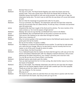| James    | Norway? How is it so?                                                                                                                                                                                                                                                     |
|----------|---------------------------------------------------------------------------------------------------------------------------------------------------------------------------------------------------------------------------------------------------------------------------|
| Maitland | The way of it is this. The Royal Danish flagship upon which the Queen was borne<br>sprang a leak. There was a great storm that drove the Danish fleet to Norway. The<br>Hollander barque that landed at Leith was sorely pressed. Her sails were in rags, her             |
|          | shipmaster barely alive. The storm was so wild that she was blown off course and landed<br>at Leith.                                                                                                                                                                      |
| James    | See to it that the messenger be granted drink siller for his pains.                                                                                                                                                                                                       |
| Maitland | Tis as ye command, Your Majesty. The shipmaster said twas the Devil that raised the<br>storm by his servants that are called witches. He did say many a Christian soul perished<br>upon the waves and-                                                                    |
| James    | [Impatient] We shall hear naught of the Devil and his witches. The mere mention of his<br>name unmans us. Tis it not the season of high storms?                                                                                                                           |
| Maitland | Mayhap. But some do say that My Lord Bothwell had a hand in the Matter.                                                                                                                                                                                                   |
| James    | Good Maitland, My Lord Bothwell hath not the power to prevent sea storms.                                                                                                                                                                                                 |
| Maitland | That may be. But mayhap he can raise them through his master.                                                                                                                                                                                                             |
| James    | What is your meaning, sir?                                                                                                                                                                                                                                                |
| Maitland | Why, tis common gossip in the Lawnmarket taverns that Bothwell openly boasts of the<br>power given him by his master.                                                                                                                                                     |
| James    | But we are his master. Ye speak in riddles.                                                                                                                                                                                                                               |
| Maitland | Your Majesty it is well kent that Bothwell serves another. Tis said that he hath abused<br>your name and your lineage. Why sir, he was heard to say but recently that his true<br>master is not of this earth, though tis where he walks.                                 |
| James    | Ye mean Satan, the Devil Incarnate?                                                                                                                                                                                                                                       |
| Maitland | Tis so. Bothwell boasts that his master the Devil shall through his craft cast ye from the<br>throne of Scotland. Bothwell hath callit Your Majesty a bastard whoreson, that ye were<br>fathered by the Italian David Riccio, your mother's secretary and a low born man. |
| James    | Tis a lie! We are the son of Henry Stuart, Lord Darnley.                                                                                                                                                                                                                  |
| Maitland | Bothwell openly casts doubt upon the matter.                                                                                                                                                                                                                              |
| James    | Then we shall reprimand him for it in time coming. But what further news of our Anne,<br>the Queen of Scotland?                                                                                                                                                           |
| Maitland | She is in fair health. The Hollander shipmaster saw with his own eyes that she steppit<br>lightly from the Danish flagship Gideon and did walk unaided upon the Oslo quayside.                                                                                            |
| James    | Thanks be to God! Our Queen is safe and well!                                                                                                                                                                                                                             |
| Maitland | Aye, Your Majesty. For the moment.                                                                                                                                                                                                                                        |
| James    | Why say ye so?                                                                                                                                                                                                                                                            |
| Maitland | The Queen is abroad, where tis said that there are many there in paction with the Devil<br>who would harm the Queen. Aye and ye were ye to go to her.                                                                                                                     |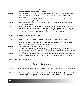| James    | We have heard tales that those that are in the service of the Devil may put to sea in<br>sieves that do not founder. Tis but child's tales.                                                                                                                                                                                                                         |
|----------|---------------------------------------------------------------------------------------------------------------------------------------------------------------------------------------------------------------------------------------------------------------------------------------------------------------------------------------------------------------------|
| Maitland | Would it were so, Your Majesty. The witches are legion. Did not your own mother make a<br>law that would punish the abominable creatures within this realm but a score and six<br>years past?                                                                                                                                                                       |
| James    | We shall hear no more of this talk. Tis more fitting that we speak of the Queen and the<br>manner of her coming to Scotland                                                                                                                                                                                                                                         |
| Maitland | Shall ye command the Lord Bothwell to escort her? He is High Admiral of Scotland and<br>tis his duty to obey ye.                                                                                                                                                                                                                                                    |
| James    | We are confounded by your counsel. Did ye not say that Bothwell is not a true servant?<br>Twould go ill with the Queen were we to place her life in his custody. Nay, we shall act in<br>person. Have we not ordered a fast and prayers said i' the kirks these past weeks for the<br>Queen's safe delivery to Scotland? Good Maitland, take up pen and write this. |

[Maitland sits at table with pen and begins to write]

| James    | Write ye these words to our Privy Council. We, James, King of Scotland declare that we<br>are a true prince of this realm, not an irresolute ass that can do naught by himself.            |
|----------|--------------------------------------------------------------------------------------------------------------------------------------------------------------------------------------------|
|          | Therefore we shall take ship out of Leith in six days for to bring home Anne, Queen of                                                                                                     |
|          | Scotland from Denmark. A true prince can do no less.                                                                                                                                       |
| Maitland | Shall ye avyse Lord Bothwell of this?                                                                                                                                                      |
| James    | Nay. We shall say that he is needed in Scotland to guard her shores, for that is his duty<br>as High Admiral. Forbye, if tis true that he plots against us, he shall hang himself with his |
|          | own rope if he should move against us in our absence abroad.                                                                                                                               |
| Maitland | Bravo, Your Majesty! Ye are truly a great prince that shall confound Bothwell by his own                                                                                                   |
|          | actions. May God bless ye and the Queen and that he keep thee safe upon this venture.                                                                                                      |

[Bows and leaves the King. Lights out]

# **Act 2 Scene 1**

[Salt Preston Kirk manse. Rev John Davidson and David Seton, magistrate in Tranent are seated at a table]

Davidson Tis an evil business that we lack the King's person in Edinburgh. Be that as tis, we maun maintain the law. Maister Seton, what have ye to say upon the manner of your servant Geilis or Geilie Duncan?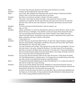| Seton    | Tis known that she goes abroad at nicht when good Christians are a-bed                        |
|----------|-----------------------------------------------------------------------------------------------|
| Davidson | Ye have nae doot speered her upon the matter.                                                 |
| Seton    | That I have. She confesses tae visiting the seik and the ailing in Travernent and Salt        |
|          | Preston. She is a kind lass and warks weel in my hoose                                        |
| Davidson | But think ye not that her wanderin' abroad i' the dark is queer?                              |
| Seton    | That I dae. I have askit her aboot the habit. I hae avysed her that her nichtly               |
|          | wanderins are suspectit. But she says that she maun gae oot at nicht for tis only then        |
|          | that she maun visit the seik. She travels far. Travernent, Salt Preston and even North        |
|          | Berwick.                                                                                      |
| Davidson | Tis of her journeys tae North Berwick I wish tae speak to ye.                                 |
| Seton    | Aye, sir, I ken                                                                               |
| Davidson | Lately, my Brothers in Christ hae attended the auld kirk at North Berwick, where tis said     |
|          | that at the hour of midnight, mony eldritch sounds and queer lichts abound the place.         |
|          | Your servant Geilie Duncan has been seen comin' and goin' there, alang with mony              |
|          | uthers frae Salt Preston. The Brethren say that the door is watched be one named Grey         |
|          | Meal, a powerful man that is feared in this parish.                                           |
| Seton    | I have heard on it.                                                                           |
| Davidson | Tis kent that your servant lass Geilie Duncan, Dr John Fian, Agnes Sampson, Euphemia          |
|          | McLean, Janet Stratton, Meg Bogton and Bessie Thomson and mony other Salt Preston             |
|          | folk attend the kirk. They say near a score.                                                  |
| Seton    | Tis a sair business richt enough. They say that Fian is also kent as Cunningham. The low      |
|          | folk mak a jest o' the name, crying him Sly Bacon. The shoe maun fit for tis weel kent        |
|          | that Fian is versed in the Black Airts, the servant o' the Deil and o' Francis Earl Bothwell. |
|          | Did not his late kinsman debauch the late Queen Mary in the castle of Dunbar and force        |
|          | her to marry him, that he would gain the throne?                                              |
| Davidson | Tis as ye say. Now his kinsman casts his een upon the throne o' King James the Saxth.         |
|          | The first Bothwell deed in a Danish prison. Tis strange that oor present King is there this   |
|          | day. Why cannot the Scottish fleet bring the royal fowk hame?                                 |
| Seton    | Tis said that Chancellor Maitland puts it about that Bothwell is no' to leave the realm, for  |
|          | fear that he wreaks herm upon the King.                                                       |
| Davidson | There is nae smoke withoot there be fire. Bothwell is rumoured tae lead the coven at          |
|          | North Berwick and that they hae already brocht storms to droon the Queen and then the         |
|          | King himself. Would that I had the power tae accuse him.                                      |
| Seton    | Ye micht not hae the power but there is ane that does. My Lord Chancellor Maitland has        |
|          | the King's ear in this matter. He has avised the King that Bothwell is evilly disposed tae    |
|          | him. In time coming, Bothwell shall be brocht low.                                            |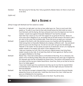Davidson We maun pray for that day. Noo I bid ye goodnicht, Maister Seton, for there is much work to be done.

[Lights out]

## **Act 2 Scene 1i**

[Dimly lit stage with Bothwell and Fian seated at a table]

| <b>Bothwell</b> | Good John, tis right glad I am that ye have called upon me. There is much work that<br>awaits us. Tis said in court that he that calls himself James the Sixth shall not return<br>from Denmark until the Spring. We have achieved much since his departure but more is<br>needed. I would move against Chancellor Maitland if I but had the strength.                                                                                     |
|-----------------|--------------------------------------------------------------------------------------------------------------------------------------------------------------------------------------------------------------------------------------------------------------------------------------------------------------------------------------------------------------------------------------------------------------------------------------------|
| Fian            | Upon that may I assure ye my Lord? The support for ye grows be the hour. Above six<br>score have sworn allegiance to ye, all humble folk but all well versed in the Devil's craft. I<br>am clerk to the coven that increases daily. Those that serve ye await your command.                                                                                                                                                                |
| <b>Bothwell</b> | Ye speak of the Devil's craft. My enemies accuse me of paction with that gentleman.<br>Chief among them is Chancellor Maitland who employs a different craft - lies and deceit<br>which he pours into the King's ear. He will not rest until I am got into the Edinburgh<br>Tolbooth or the Castle. He has openly accused me of witchcraft. So be it, for mayhap the<br>weaker vessels in his employ may waver in their allegiance to him. |
| Fian            | I take your meaning, my Lord. Fear of ye and your magical powers may bring these<br>weaker vessels to your side. Or at least they shall not move against ye. Shall ye move<br>now against Maitland or the King?                                                                                                                                                                                                                            |
| <b>Bothwell</b> | Master Fian, I have laid careful plans to rid Scotland of this King. He is a whoreson, the<br>spawn of his murdering mother Mary that was executed but two years ago in England for<br>her attempts upon the life of Elizabeth the Queen there. This James is the bastard son of<br>his mother and the low-born Italian David Riccio. Good Fian, think ye not that he has the<br>face of an Italian gigolo?                                |
| Fian            | I have never looked upon his countenance but they say tis true that his reputed father<br>Lord Darnley was murdered by his own mother, that she might wed your kinsman the<br>third Earl Bothwell.                                                                                                                                                                                                                                         |
| Bothwell        | Aye. And had the courage to despatch Mary, he would have become King and thereby<br>passed the throne to me and mine. I shall have this throne first, then I shall have the<br>guts out of Maitland for his treachery.                                                                                                                                                                                                                     |
| Fian            | I shall serve ye in this. As will thy servants in the Devil. Thy will be done.                                                                                                                                                                                                                                                                                                                                                             |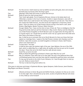| <b>Bothwell</b> | For this service I shall reward ye and my faithful servants with gold, silver and victuals.                                                                                                                                                                                                                                                                                                                                                                |
|-----------------|------------------------------------------------------------------------------------------------------------------------------------------------------------------------------------------------------------------------------------------------------------------------------------------------------------------------------------------------------------------------------------------------------------------------------------------------------------|
|                 | All shall enjoy my bounty when the King is gone.                                                                                                                                                                                                                                                                                                                                                                                                           |
| Fian            | [Bowing] I shall make this known to those that serve ye.                                                                                                                                                                                                                                                                                                                                                                                                   |
| <b>Bothwell</b> | Shall ye name the chief among them?                                                                                                                                                                                                                                                                                                                                                                                                                        |
| Fian            | That I shall right gladly. First is Euphemia McLean, heiress to the lately deed Lord<br>Cliftonhall, a senator in the Court of Justice. Another is Agnes Sampson, wise-wife of<br>Nether Keith who is well-versed in the making of potions to cure the sick. Then there is<br>the comely lass Geilie Duncan, her that serves the magistrate in Travernent, David<br>Seton. There are others out of Salt Preston that be strong in the Devil's craft. Janet |
|                 | Straton, Meg Bogton, Bessie Thomson, Robin Grierson -                                                                                                                                                                                                                                                                                                                                                                                                      |
| <b>Bothwell</b> | Enough, Master Fian. I have not the time to hear of them all. There is intelligence that the<br>King and his bride shall set sail from Denmark in May month. Shall ye and the followers<br>out of Salt Preston foregather at North Berwick upon my signal when the King sails? Tis<br>is of great import, for I would have ye and the coven rise up a great storm that shall send<br>their ship to the bottom of the sea.                                  |
| Fian            | Aye, it shall be as ye command. But not at North Berwick for there are those that have<br>espied our meetings there. I speak of the Salt Preston minister John Davidson and his<br>brethren. Upon this occasion, we shall foregather at Acheson's Haven, Salt Preston,<br>where none shall watch us.                                                                                                                                                       |
| <b>Bothwell</b> | Tis best done i' the dark.                                                                                                                                                                                                                                                                                                                                                                                                                                 |
| Fian            | It shall be done upon the darkest night of the year. Upon Beltane, the eve of the 30th<br>April, which is called May Eve, a night when all candles and fires are put out for to greet<br>the dawn. Those that serve the Devil may then walk abroad unseen.                                                                                                                                                                                                 |
| <b>Bothwell</b> | Good Fian, ye serve me well.                                                                                                                                                                                                                                                                                                                                                                                                                               |
| Fian            | Shall ye attend the gathering at Acheson's Haven upon May Eve my Lord?                                                                                                                                                                                                                                                                                                                                                                                     |
| <b>Bothwell</b> | Nay, for methinks I have other fish to fry that night. But say to the gathered there that<br>Lord Bothwell greets them and that they shall be rewarded by gold and silver and wheat.                                                                                                                                                                                                                                                                       |
| Fian            | Ye may say the words to the chief of your followers, for I have brought them to meet ye,<br>my Lord. Shall ye receive them?                                                                                                                                                                                                                                                                                                                                |
| <b>Bothwell</b> | The hour is late but bring them before me.                                                                                                                                                                                                                                                                                                                                                                                                                 |

[Fian goes to staircase and brings in Euphemia McLean, Agnes Sampson, Geilie Duncan, Janet Stratton, Meg Bogton and Bessie Thomson]

Bothwell [Stands and bows to them]. My good and faithful friends, it pleases me that ye are come to me this night. Now I should know ye by name. [Looks at Euphemia McLean who bows to him]. Shall ye come forward?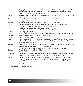| McLean          | Aye, my Lord. I am called Euphemia McLean, spouse to Patrick Moscrop, lawyer and<br>adulterer, the kinsman of your enemy David Seton, magistrate in Travernent. I have                                                                                                            |
|-----------------|-----------------------------------------------------------------------------------------------------------------------------------------------------------------------------------------------------------------------------------------------------------------------------------|
|                 | powers that I would give to you in service.                                                                                                                                                                                                                                       |
| Bothwell        | Thank ye, Mistress McLean. [Beckoning to Agnes Sampson] Come ye forward, Mistress,<br>name yourself                                                                                                                                                                               |
| Sampson         | I am callit Agnes or Anny Sampson, grace-wife. I am skilled in the                                                                                                                                                                                                                |
|                 | making of potions that heal the seik.                                                                                                                                                                                                                                             |
| <b>Bothwell</b> | Tis a noble profession. And how are ye called? [To Geilie Duncan]                                                                                                                                                                                                                 |
| Duncan          | [curseying] I am but a serving lass Geilis Duncan in the service of David Seton,                                                                                                                                                                                                  |
|                 | Magistrate of Travernent. I also heal the seik. I play upon the                                                                                                                                                                                                                   |
|                 | Jewish harp for it amuses my sisters and brothers when we are                                                                                                                                                                                                                     |
|                 | within the cauld chambers o' North Berwick's ruined kirk.                                                                                                                                                                                                                         |
| <b>Bothwell</b> | Shall ye play for us now?                                                                                                                                                                                                                                                         |
| Duncan          | Nay sir, for I do not have the instrument. I play only when the Deil is present amang us.                                                                                                                                                                                         |
| <b>Bothwell</b> | Mayhap ye shall play it for me upon a favoured hour?                                                                                                                                                                                                                              |
| Duncan          | <i>curtseying again]</i> Twill be my pleasure, sir.                                                                                                                                                                                                                               |
| Fian            | [Motioning Janet Stratton, Meg Bogton and Bessie Thomson forward] And here are three<br>other loyal servants my Lord. They are callit Meg Bogton, Janet Stratton and Bessie<br>Thomson. [They all curtsey]                                                                        |
| Bothwell        | I have heard of ye Mistress Stratton. That ye were present at the port of Leith when the                                                                                                                                                                                          |
|                 | King set sail for Denmark last October. Were ye not                                                                                                                                                                                                                               |
|                 | she who cast into the sea the cat that brought forth a great storm that day?                                                                                                                                                                                                      |
| Stratton        | Aye, sir, I were. As were Meg and Bessie.                                                                                                                                                                                                                                         |
| <b>Bogton</b>   | Twas my duty to be there.                                                                                                                                                                                                                                                         |
| Thomson         | And mine. And Janet did give us strength upon that day, saying that there shall be nae<br>deceit amang us, for we are united in the ploy that shall bring doon a faus King.                                                                                                       |
| <b>Bothwell</b> | I thank ye, my good servants. Dr Fian, see that ye nurture these women well. I shall<br>reward ye and they in time coming. Gold, silver and food shall ye all have, for I am<br>bountiful to those that serve me faithfully. And now the hour is late. I bid ye all<br>goodnight. |

[All bow as he exits the stage. Lights out]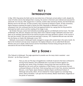## **Act 3 Introduction**

In May 1590, King James the Sixth and his new bride Anne of Denmark arrived safely in Leith, despite the onset of further storms that delayed their crossing. Six women in Denmark were indicted and executed for witchcraft. On 31st July 1590, August Eve or Lammas, another date revered by witches, the North Berwick Witches met for the last time. On that occasion, they convened at Acheson's Haven. At that convention, Agnes Sampson proposed the death of James the Sixth, Reputedly on Bothwell's orders. At her subsequent trial, she confessed that the Devil had appeared before her, saying that the King would be destroyed by toad's venom and the roasting of his image in wax.

By October that year, James had instituted proceedings against Lord Bothwell and his Coven. The trials of Bothwell, Fian, McLean, Sampson and many others were ordered to begin. Bothwell's trial never took place as his standing required that he be tried by his peers and many declined to attend. In the course of the next few months, Fian was tortured and executed in January 1591; Euphemia McLean was cast alive into the flames on Castle Hill, Edinburgh in June 1591.

Bothwell, incarcerated in Edinburgh Castle managed to escape with outside help in the same month. He fled to the Continent and was never recaptured. His hapless followers, the so-called North Berwick Witches were put to death, Geilie Duncan and her friend Bessie Thomson being among the last to be executed at the end of that terrible year.

# **Act 3: Scene 1**

[The Tolbooth in Edinburgh. The judge appointed to preside over the many trials is assisted – even directed – by the King in person]

Judge Hear ye, hear ye! This day is foregathered a multitude of persons that have confessed to serving Francis Stewart, Earl of Bothwell who is accused of treason against our sovereign lord, James, King of Scotland. Among those that have served the rebel Bothwell are two score and ten residenters of Salt Preston, men and women that are confessed followers of the Devil. Chief among these are Dr John Fian, dominie, Euphemia McLean, a rank Papist, Agnes Sampson, Barbara Napier and Richard Graham of Edinburgh and sundry others. All are indicted for treason against our sovereign King, James, Sixth of Scotland. I call upon the first witness, Master David Seton, magistrate of the parish of Travernent.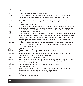## [Seton is brought in]

| Judge    | How are ye called and what is your profession?                                              |
|----------|---------------------------------------------------------------------------------------------|
| Seton    | David Seton, magistrate of Travernent. My testimony shall be vouchsafed by Master           |
|          | Patrick Moscrop, my advocate and kinsman, spouse to the accused Euphemia                    |
|          | McLean.                                                                                     |
| James    | [nods] We have foreknowledge of ye, Master Seton, aye and of your kinsman. Pray be          |
|          | seated.                                                                                     |
| Judge    | How shall ye inform this assize?                                                            |
| Seton    | In this manner. My servant Geilis Duncan is a witch that goes abroad at night when good     |
|          | Christian souls are a-bed. I have followed her and seen the abominable spectacles that      |
|          | occurrit in the ruined Kirk at North Berwick, where above 5 score folk met the Devil.       |
| Judge    | Is there one who shall attest to this?                                                      |
| Davidson | I shall sir, for I am minister of Salt Preston Kirk and was present with Maister Seton upon |
|          | several nichts at North Berwick, where we did witness the abominable gaitherings there.     |
| Judge    | Pray be seated Maister Davidson. As ye have knowledge of the coven that met at North        |
|          | Berwick, thy testament shall be used against those that are on trial this day. Pray         |
|          | enlighten this assize upon thy hand in this matter.                                         |
| Davidson | I cannae say all, for I saw not all i' the kirk at North Berwick. Me and the Brethren were  |
|          | obleeged tae remain hidden for there was a man they callit Grey Meal who stood guard        |
|          | at the broke door i' the kirk there                                                         |
| Judge    | So what saw ye there?                                                                       |
| Davidson | A gaithering of ower five score, mony o' them frae my parish.                               |
| Judge    | And what did they do there?                                                                 |
| Davidson | They made homage to the Deil that appeared as a black man wi' the horns o' a black          |
|          | beast upon him. Ah couldna see his face therefore.                                          |
| Judge    | What manner of beast's head did he adopt?                                                   |
| Davidson | Twas like that o' a ox or bullock. The black man stood upon the ruinit pulpit an' invited   |
|          | them assembled to approach him, that they micht kiss his arse be way o' homage.             |
| Judge    | Did ye witness this foul act?                                                               |
| Davidson | Aye, that Ah did. Twas mostly women that kissed the Deil's arse.                            |
| Judge    | Shall ye give their names?                                                                  |
| Davidson | There were ower mony Sir. But Ah did witness the women callit Sampson, McLean,              |
|          | Stratton, Bogton and sundry others performing the foul deed.                                |
| Judge    | Was the woman called Geile Duncan among them?                                               |
| Davidson | Aye, Sir                                                                                    |
| Judge    | Did ye witness other foul deeds?                                                            |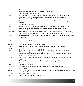| Davidson | Aye Sir. Some o' the women showed their bare breasts that the Deil micht suck upon                                                                                      |
|----------|-------------------------------------------------------------------------------------------------------------------------------------------------------------------------|
|          | them. Tis weel kent that the Deil favours womens' milk.                                                                                                                 |
| Judge    | Have ye more to tell the assize?                                                                                                                                        |
| Davidson | Aye, that Ah have. That nicht the Deil said he would hae the heart o' the King, that he<br>wad roast it in Hell for he was weel servit be a noble man and his servants. |
| Judge    | Did he name the noble man?                                                                                                                                              |
| Davidson | Nay, but those that were present upon the nicht spake o' the name o' Francis, Earl                                                                                      |
|          | Bothwell.                                                                                                                                                               |
| Judge    | And what did they then?                                                                                                                                                 |
| Davidson | They did take up the corpse o' a black cat and held it ower the sea, then they did<br>dispatch it, saying that twould mak a grit storm that would droon the King.       |
| Judge    | Saw ye more?                                                                                                                                                            |
| Davidson | Nay Sir, for me and mine were sair afraid and would return tae the kirk o Salt Preston,                                                                                 |
|          | there to pray for oor deliverance be the Lord Jesus Christ, oor Saviour.                                                                                                |
| Judge    | Thank ye Master Davidson. Ye may stand down. I call next upon David Seton, Magistrate<br>of Travernent.                                                                 |

[Seton is brought in and he bows to the judge]

| Seton    | I am a humble servant at your service Sir.                                                                                                                                                                                                                                                          |
|----------|-----------------------------------------------------------------------------------------------------------------------------------------------------------------------------------------------------------------------------------------------------------------------------------------------------|
| Judge    | Was it not your servant Geilie Duncan that made known the plot to kill the King?                                                                                                                                                                                                                    |
| Seton    | Aye Sir.                                                                                                                                                                                                                                                                                            |
| Judge    | Bring in the panel she who is callit Geilie Duncan that she may face her accusers.<br>[Duncan is dragged in. She has clearly been tortured] Ye are among the chief suspects<br>that have made threat upon the King's life. What say ye to the crime of which ye are<br>accused, that of witchcraft? |
| Duncan   | If ye please Sir, Ah'm nae witch. Ah am but a puir lass that has been gien the pow'r o'<br>healing.                                                                                                                                                                                                 |
| Judge    | And muckle else twould seem. Did ye attend the gathering at North Berwick Kirk?                                                                                                                                                                                                                     |
| Duncan   | Aye Sir                                                                                                                                                                                                                                                                                             |
| Judge    | And what did ye there?                                                                                                                                                                                                                                                                              |
| Duncan   | Ah played upon the Jewish Harp for to entertain ma sisters and brothers.                                                                                                                                                                                                                            |
| Judge    | And the Devil?                                                                                                                                                                                                                                                                                      |
| Duncan   | Ah ken nocht for Ah saw him nocht, though they say he was present upon ane nicht i' the<br>kirk o' North Berwick                                                                                                                                                                                    |
| James VI | May we question the panel?                                                                                                                                                                                                                                                                          |
| Judge    | As ye wish, Your Highness, for tis thy right.                                                                                                                                                                                                                                                       |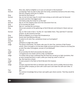| King   | Now, lass, shall ye enlighten us on your art and part in this business?                                                                                                                                                                        |
|--------|------------------------------------------------------------------------------------------------------------------------------------------------------------------------------------------------------------------------------------------------|
| Duncan | [curtseying] 'Twas my task to play upon the tromp, sometimes kenned as the Jew's Harp,<br>that the company micht join in a dance.                                                                                                              |
| King   | And did the Devil dance?                                                                                                                                                                                                                       |
| Duncan | Aye, sir, but not ower long, for would move amang us and smile upon his favoured<br>servants and them that jigged weel.                                                                                                                        |
| King   | And shall ye play the tromp for us this day?                                                                                                                                                                                                   |
| Duncan | Nay sir, for the maisters have ta'en the instrument from me.                                                                                                                                                                                   |
| King   | Do ye worship the Devil?                                                                                                                                                                                                                       |
| Duncan | Nay, sir. I worship the Lord Jesus.                                                                                                                                                                                                            |
| King   | Yet ye were present at the gatherings at North Berwick and Acheson's Haven were ye<br>not?                                                                                                                                                     |
| Duncan | Aye, sir. But it was in fear o' my life, for I was bidden there. They said that if I werenae<br>present, my life would be hermed.                                                                                                              |
| King   | Shall ye enlighten us on those that threatened ye.                                                                                                                                                                                             |
| Duncan | Doctor John and Mistress McLean                                                                                                                                                                                                                |
| King   | Ye advert to Dr John Fian, sometimes known as Cunningham?                                                                                                                                                                                      |
| Duncan | Aye, sir                                                                                                                                                                                                                                       |
| King   | [whispers to Judge who nods]                                                                                                                                                                                                                   |
| Judge  | The panel is dismissed. The assize calls upon Dr John Fian, dominie of Salt Preston<br>school. [Fian is brought in; he has been badly tortured and there is blood on his face] Are<br>ye John Fian alias Cunningham, servant of Lord Bothwell? |
| Fian   | I am, sir                                                                                                                                                                                                                                      |
| Judge  | Do ye worship the Devil and practise the black arts?                                                                                                                                                                                           |
| Fian   | I recognise but one master and he is My Lord Bothwell.                                                                                                                                                                                         |
| Judge  | Tis written that ye have confessed that the Devil has carried ye to high mountains, that<br>ye were transported there in spirit, while your body lay a-bed? Is that so?                                                                        |
| Fian   | Aye. But twas but a dream                                                                                                                                                                                                                      |
| Judge  | Ye were present in the flesh at North Berwick Kirk however.                                                                                                                                                                                    |
| Fian   | Aye.                                                                                                                                                                                                                                           |
| Judge  | Tis been reported that there ye did blow open the door and lit candles that burnt blue,<br>that the hellish company ye were with could cavort and make free with each other. Is<br>that true?                                                  |
| Fian   | Aye.                                                                                                                                                                                                                                           |
| Judge  | Tis common knowledge that ye have cast spells upon divers women. That they would lie<br>with ye?                                                                                                                                               |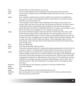| Fian    | They lay with me at their pleasure, not my own                                                                                                                                                                                                                                                                                                                                                                                                                                                                                                                               |
|---------|------------------------------------------------------------------------------------------------------------------------------------------------------------------------------------------------------------------------------------------------------------------------------------------------------------------------------------------------------------------------------------------------------------------------------------------------------------------------------------------------------------------------------------------------------------------------------|
| Judge   | Fie, sir, ye add calumny to your compearing. How many women did ye lie with?                                                                                                                                                                                                                                                                                                                                                                                                                                                                                                 |
| Fian    | A score and ten [Gasps from the assembled cast] But they did not come to my bed by<br>inchantment.                                                                                                                                                                                                                                                                                                                                                                                                                                                                           |
| Judge   | Ye are adulterer and whoreson! Let that be added to the panel's list of malefactions.<br>Now, upon the matter of Lord Bothwell, shall ye confess that he is the Devil's servant<br>and that he uses of the black arts.                                                                                                                                                                                                                                                                                                                                                       |
| Fian    | I know naught of these matters. My Lord Bothwell is the King's servant and as I am<br>servant to My Lord, then it must be that I am the King's servant also. The Devil's craft is<br>to gain power, that he might destroy what is builden, to cast down what is good, to<br>uproot that which thrives. My Lord Bothwell hath done no manner of such things. I swear<br>this as the best of my knowledge, for I am not party to all that he does.                                                                                                                             |
| Judge   | Yet ye have confessed enough to damn yourself. Your interlocuters have sworn under<br>oath that said ye did give faith to and adore the Devil, that ye gained converts to his<br>cause and administered potions to them. Forbye, ye committed monstrous acts the like<br>of which were thus- the digging up of corpses of children that died without baptism, that<br>ye might use of their bones to distil your potions. That ye destroyed cattle, corn and<br>divers goods. That ye did raise storms and tempests that would harm the King's person<br>upon the high seas. |
| Fian    | These are falsehoods.                                                                                                                                                                                                                                                                                                                                                                                                                                                                                                                                                        |
| Judge   | Then why did ye freely confess to them?                                                                                                                                                                                                                                                                                                                                                                                                                                                                                                                                      |
| Fian    | I have never practised witchcraft. I abused the people by putting fear into them. But I am<br>no witch or warlock. I confessed these matters by fear of torture and to save my life.                                                                                                                                                                                                                                                                                                                                                                                         |
| Judge   | Silence! Enough of your calumnies! Ye are possessed of evil and ye have earned the<br>reward ye deserve under the law. Ye shall be taken from this place to the Castlehill, there<br>to be werrit and his body thereafter to be consumed by fire. [The King raps on the table<br>in agreement and shouts out "May God have mercy upon ye!" Fian is led away, his head<br>held high: he is smiling] I call upon the prisoner Agnes Sampson. [She is led in. She is<br>unafraid and proud. She looks disdainfully at the judge and then the King] Pray state<br>your name.     |
| Sampson | I am callit Agnes or Anny Sampson, guid-wife or wise-wife of Nether Keith                                                                                                                                                                                                                                                                                                                                                                                                                                                                                                    |
| Judge   | Ye are also midwife?                                                                                                                                                                                                                                                                                                                                                                                                                                                                                                                                                         |
| Sampson | Aye.                                                                                                                                                                                                                                                                                                                                                                                                                                                                                                                                                                         |
| Judge   | Ye have confessed to the crime of witchcraft have ye not?                                                                                                                                                                                                                                                                                                                                                                                                                                                                                                                    |
| Sampson | Aye, but twas got from me under strict dealing by evil men that ye employ as jailers.                                                                                                                                                                                                                                                                                                                                                                                                                                                                                        |
| Judge   | How came ye to serve the Devil?                                                                                                                                                                                                                                                                                                                                                                                                                                                                                                                                              |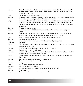| Sampson | Twas after my husband died. The Devil appeared afore me in the likeness of a man. He<br>commanded me to call him my master and that when I was afflicted, to summon him by<br>calling out Hola! Master!                                                                             |
|---------|-------------------------------------------------------------------------------------------------------------------------------------------------------------------------------------------------------------------------------------------------------------------------------------|
| Judge   | Did he promise ye rewards for your service?                                                                                                                                                                                                                                         |
| Sampson | Aye, that he did. Riches were to be granted to me and mine. And powers to be given me<br>that I might wreak revenge on them that have wronged me.                                                                                                                                   |
| Judge   | So ye admit that the Devil promised ye reward. Tis said that ye were promised reward<br>from Lord Bothwell. Let me remind ye of your confession [Reading from a paper] "My<br>Lord Bothwell promised me gold, siller and vittles for my service unto him". Are these<br>your words? |
| Sampson | Aye, but none came to me.                                                                                                                                                                                                                                                           |
| Judge   | Yet ye deny ye are witch? That ye have turned from the worship of our Lord Jesus<br>Christ.                                                                                                                                                                                         |
| Sampson | I worship as I am minded to for I bring bairns into this world that are in sair need of<br>succour. Aye and the sick that languish for want of comfort and vittles.                                                                                                                 |
| Judge   | Ah yes, the sick. Ye have skill in the healing of the sick, have ye not?                                                                                                                                                                                                            |
| Sampson | I am blessed with that gift.                                                                                                                                                                                                                                                        |
| Judge   | Ye have cured men, women, children and even animals, have ye not?                                                                                                                                                                                                                   |
| Sampson | Aye, tis so.                                                                                                                                                                                                                                                                        |
| Judge   | Let us consider divers of those ye have cured. Is it not so that some years past, ye cured<br>an afflicted noblewoman?                                                                                                                                                              |
| Sampson | Aye. She was Lady Kilbaberton of Baberton, nigh Edinburgh                                                                                                                                                                                                                           |
| Judge   | How came ye to cure her affliction?                                                                                                                                                                                                                                                 |
| Sampson | How else? Be prayer, Maister. For does not the kirk teach us that prayer brings comfort<br>to the ailing, the distressed and the dying?                                                                                                                                             |
| Judge   | I grant ye that. But I would enquire of the manner of the affliction possessed by Lady<br>Kilbaberton                                                                                                                                                                               |
| Sampson | Twas ane heavy disease that was like to carry her off                                                                                                                                                                                                                               |
| Judge   | And ye cured her? It what manner?                                                                                                                                                                                                                                                   |
| Sampson | Be my skills.                                                                                                                                                                                                                                                                       |
| Judge   | You advert to the potions ye concoct?                                                                                                                                                                                                                                               |
| Sampson | Aye and the benison of prayer.                                                                                                                                                                                                                                                      |
| Judge   | Are ye acquaint with one Robert Kerse of the Parish of Dalkeith?                                                                                                                                                                                                                    |
| Sampson | Aye, I was.                                                                                                                                                                                                                                                                         |
| Judge   | And what was the manner of the acquaintance?                                                                                                                                                                                                                                        |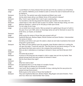| Sampson | I cured Robert of a heavy disease that was laid upon him by a warlock out of Dumfries.      |
|---------|---------------------------------------------------------------------------------------------|
| Judge   | Ah, a warlock. Methinks ye are minded to seek to remove the stain of witchcraft from ye     |
|         | by saying so.                                                                               |
| Sampson | Tis not true. The warlock was evilly intended and Robert was cured                          |
| Judge   | And by what means did ye cure Master Kerse of this warlock's disease?                       |
| Sampson | Why, I took it upon myself, then I cast it upon a passing dog.                              |
| Judge   | Tis recorded so. But the dog passed the disease upon another man who died of it             |
| Sampson | I heard twas so. But I did not seek to pass it to another. Twas the dog's doing, not mine   |
| Judge   | Mistress Sampson, I admire ye for the play ye make upon words.                              |
| Sampson | Tis not a play, tis as it was.                                                              |
| Judge   | Let us revisit more recent events. Were ye present at a gathering at the port of Leith in   |
|         | the year of our Lord 1589, when our Sovereign James set sail for Denmark to escort his      |
|         | bride Anne, our Queen, to Scotland?                                                         |
| Sampson | I was                                                                                       |
| Judge   | Shall ye give the names of those that were present with ye?                                 |
| Sampson | Euphemia MacLean, Barbara Napier, Ritchie Graham and Janet Stratton. I disremember          |
|         | the names of others                                                                         |
| Judge   | And did ye and others cast upon the waters a dead cat and make incantations that would      |
|         | bring forth a great storm.                                                                  |
| Sampson | Aye. When we were gatherit upon the quayside, Janet Stratton aided me in casting the        |
|         | cat upon the water. I recall she said this: "See that there be nae deceit amang us" for she |
|         | was feared that there were some in the company that would betray us.                        |
| Judge   | Were ye also in attendance at meetings in Acheson's Haven and North Berwick Kirk?           |
| Sampson | Aye                                                                                         |
| Judge   | And what did ye there?                                                                      |
| Sampson | A picture of the King that was wrappit in cloth or paper was put into my hands. Twas        |
|         | passed among those that were present at Acheson's Haven.                                    |
| Judge   | Did the Devil attend that night?                                                            |
| Sampson | Aye                                                                                         |
| Judge   | What form did he take?                                                                      |
| Sampson | He appeared afore us in the shape of a bundle of straw.                                     |
| Judge   | That ye might not witness his countenance?                                                  |
| Sampson | I ken nocht. But he spake from the bundle of straw, ordering that the wax picture be        |
|         | passed among those present.                                                                 |
| Judge   | Shall ye give us the names of those that handled it?                                        |
| Sampson | They were Euphemia MacLean, Barbara Napier, Meg Bogton and Janet Stratton. There            |
|         | were four others but I disremember their names.                                             |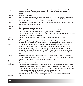| Judge       | Let me clear the fog that afflicts your memory. I call upon Janet Stratton [Stratton is<br>brought in; she shows no signs of torture] Are ye Janet Stratton, residenter of Salt<br>Preston?                                                                                                                                                                                                                                                             |
|-------------|---------------------------------------------------------------------------------------------------------------------------------------------------------------------------------------------------------------------------------------------------------------------------------------------------------------------------------------------------------------------------------------------------------------------------------------------------------|
| Stratton    | That I am. And prood o' it                                                                                                                                                                                                                                                                                                                                                                                                                              |
| Judge       | Were ye in attendance at Leith in the year of our Lord 1589 when a dead cat was cast<br>upon the waters that it would raise a storm that would harm the King's life?                                                                                                                                                                                                                                                                                    |
| Stratton    | Ah was. But the cat was no deid, for it did swim to the shore.                                                                                                                                                                                                                                                                                                                                                                                          |
| Judge       | And were ye in attendance at Acheson's Haven upon a night when a picture of the King<br>was passed among those assembled?                                                                                                                                                                                                                                                                                                                               |
| Stratton    | Aye                                                                                                                                                                                                                                                                                                                                                                                                                                                     |
| Judge       | Shall ye name those that were there?                                                                                                                                                                                                                                                                                                                                                                                                                    |
| Stratton    | Weel, there was Anny Sampson, Euphemia MacLean, Barbara Napier,                                                                                                                                                                                                                                                                                                                                                                                         |
|             | Geilie Duncan, Catherine Wallace, Meg Bogton and Bessie Thomson.                                                                                                                                                                                                                                                                                                                                                                                        |
|             | Anny Sampson said the wax picture was of the King, orderit to be consumed be fire upon<br>the orders of a nobleman of the realm.                                                                                                                                                                                                                                                                                                                        |
| Judge       | [Turning to Sampson] And did ye give name to this nobleman of the realm?                                                                                                                                                                                                                                                                                                                                                                                |
| Sampson     | Nay                                                                                                                                                                                                                                                                                                                                                                                                                                                     |
| Stratton    | [Screaming] Anny Sampson, ye are a liar! Ye said "This is King Jamie the Saxth consumit<br>at the order o' a noble man, Francis Bothwell! These were your very words! Confess!                                                                                                                                                                                                                                                                          |
| <b>King</b> | [Rising to his feet, his right fist clenched in triumph] Ah, we have him! Though he<br>escaped from our castle of Edinburgh these six months past, he is rightly branded as<br>warlock and our rebel. [Turning to Agnes Sampson] When he fled us, did he spare a<br>thought for ye, Agnes Sampson? [She hangs her head] Nay. For he uses his servants<br>abominably. He is traitor and scoundrel both. [To Judge] You may proceed, sir. [Judge<br>bows] |
| Judge       | Thank you, your Highness. Now Agnes Sampson, were ye also present at the Kirk of<br>North Berwick upon the eve that Dr John Fian blew open its doors and lit hellish candles<br>that burnt blue instead of white, as Christian candles do?                                                                                                                                                                                                              |
| Sampson     | Aye                                                                                                                                                                                                                                                                                                                                                                                                                                                     |
| Judge       | And was the Devil present?                                                                                                                                                                                                                                                                                                                                                                                                                              |
| Sampson     | Aye, that he was. He sprung up i' the pulpit sudden, as though he had been lying there<br>unseen. He was in the likeness of a black man with a black beard the like of which can<br>be seen on any male goat. In his hands, he held a black book and callit out the names in<br>it, saying that those that were his good servants should never want.                                                                                                    |
| Judge       | Was it upon that night that ye did avise the gathering that yet another storm would be<br>raised that would do mischief to our King and his Queen, coming from Denmark?                                                                                                                                                                                                                                                                                 |
| Sampson     | Aye                                                                                                                                                                                                                                                                                                                                                                                                                                                     |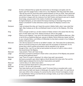| Judge   | Ye have confessed that ye spake the words that our Sovereign Lord spake unto his<br>Queen upon the voyage home. Is that not so, Your Majesty? [The King nods then rises]<br>"She did say word for word that which passed between us and our bride. Twas witchcraft<br>rather than treason. We know it, for when we sent word to our father-in-law in Denmark,<br>six witches in league with the creatures from Salt Preston and beyond were put to death. |
|---------|-----------------------------------------------------------------------------------------------------------------------------------------------------------------------------------------------------------------------------------------------------------------------------------------------------------------------------------------------------------------------------------------------------------------------------------------------------------|
|         | Good Judge, pray proceed in this matter of witchcraft. [Judge bows].                                                                                                                                                                                                                                                                                                                                                                                      |
| Judge   | So Agnes Sampson, ye were aboard the barque bearing our Sovereign King and his                                                                                                                                                                                                                                                                                                                                                                            |
|         | Queen to Scotland? In what otherwise could ye repeat His Majesty's words to his<br>Lady?                                                                                                                                                                                                                                                                                                                                                                  |
| Sampson | I was not aboard the ship, yet I heard the words in Nether Keith, when I was a-bed that                                                                                                                                                                                                                                                                                                                                                                   |
|         | night. May it please ye sir, My Lord Bothwell meant no harm to Her Majesty. [The King<br>rises]                                                                                                                                                                                                                                                                                                                                                           |
| King    | That is enough to damn ye. Let this creature of Satan remain in the assize that she may<br>learn of what others say of her. Please proceed sir [this to the judge]                                                                                                                                                                                                                                                                                        |
| Judge   | Thank ye your Majesty. I now call to the stand the panel called Euphemia MacLean. [She                                                                                                                                                                                                                                                                                                                                                                    |
|         | is led in] Are ye Euphemia MacLean, spouse to Master Patrick Moscrop, lawyer and heir                                                                                                                                                                                                                                                                                                                                                                     |
|         | to your umquile father, Lord Clifton of Cliftonhall, he that died a senator of our College of                                                                                                                                                                                                                                                                                                                                                             |
|         | Justice a few years syne?                                                                                                                                                                                                                                                                                                                                                                                                                                 |
| MacLean | I am. But my spouse is not heir to my father's estate. I am. That vexes him to distraction,<br>that he is forced to bring me to this assize upon the accusation of witchcraft. For he<br>knows that a witch's goods and property may be awarded to her spouse.                                                                                                                                                                                            |
| Judge   | Enough of this. I put it to ye that ye were present at the port of Leith to raise a storm                                                                                                                                                                                                                                                                                                                                                                 |
|         | that would drown His Majesty                                                                                                                                                                                                                                                                                                                                                                                                                              |
| MacLean | I was present. That is all I have to say.                                                                                                                                                                                                                                                                                                                                                                                                                 |
| Judge   | And were ye present at Acheson's Haven when a wax picture of His Majesty was passed                                                                                                                                                                                                                                                                                                                                                                       |
|         | among those gathered there?                                                                                                                                                                                                                                                                                                                                                                                                                               |
| MacLean | I was. There is no gain in denying it, for others have said I was present.                                                                                                                                                                                                                                                                                                                                                                                |
| Judge   | And were ye present upon divers nights at North Berwick Kirk when John Fian and his                                                                                                                                                                                                                                                                                                                                                                       |
|         | hellish legions debased the kirk by their imprecations and spells?                                                                                                                                                                                                                                                                                                                                                                                        |
| MacLean | I cannot deny it, for others have said it                                                                                                                                                                                                                                                                                                                                                                                                                 |
| Judge   | Ye have practised witchcraft for many years have ye not?                                                                                                                                                                                                                                                                                                                                                                                                  |
| MacLean | Ye say it. I do not call it witchcraft                                                                                                                                                                                                                                                                                                                                                                                                                    |
| Judge   | Then what shall we call it by another name? Tis known that ye consulted with a rank                                                                                                                                                                                                                                                                                                                                                                       |
|         | witch known by habit and repute in Edinburgh, the capital of the realm. It is said that ye                                                                                                                                                                                                                                                                                                                                                                |
|         | were seen often in the company of a woman by the name of Jonet Cunningham, known                                                                                                                                                                                                                                                                                                                                                                          |
|         | as Lady Bothwell. Think ye not that this be a strange matter, as ye have confessed that                                                                                                                                                                                                                                                                                                                                                                   |
|         | ye served Lord Bothwell?                                                                                                                                                                                                                                                                                                                                                                                                                                  |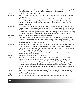| MacLean | [Smiling] Her name was Jonet Cunningham. The name Lady Bothewell was but a jest. She<br>was in years aged, and could never have been My Lord Bothwell's wife.                                                                                                                                                                                                                                                                                                                                                                                           |
|---------|---------------------------------------------------------------------------------------------------------------------------------------------------------------------------------------------------------------------------------------------------------------------------------------------------------------------------------------------------------------------------------------------------------------------------------------------------------------------------------------------------------------------------------------------------------|
| Judge   | In what matter did ye consult her?                                                                                                                                                                                                                                                                                                                                                                                                                                                                                                                      |
| MacLean | Twas to obtain a potion of poison to end the life of Joseph Douglas of Pumpherston who<br>had wronged me.                                                                                                                                                                                                                                                                                                                                                                                                                                               |
| Judge   | And that was not the only occasion ye attempted the life of a Christian soul. I put it to ye<br>that ye fell into the company of Agnes Sampson that ye might destroy the life of your<br>father-in-law John Moscrop by means of a wax picture roasted upon a fire. Shall ye<br>answer the charge?                                                                                                                                                                                                                                                       |
| MacLean | Aye, twas so. For John Moscrop would take from me my father's estate at Clifton Hall to<br>his advantage. His son, my spouse Patrick Moscrop also seeks to gain it from my death                                                                                                                                                                                                                                                                                                                                                                        |
| Judge   | That is the manner of justification for your crimes and I shall not allow it as evidence in<br>your support. For is it not proven that ye did assist in raising vile storms that would bring<br>to grief our Sovereign Lord James the Sixth of Scotland. Ye are a Papist, are ye not?                                                                                                                                                                                                                                                                   |
| MacLean | That is naught of your concern, Sir, though it be true.                                                                                                                                                                                                                                                                                                                                                                                                                                                                                                 |
| Judge   | Papism is known to be heresy as is witchcraft. Ye shall be given the just reward for the<br>heresy. Ye shall be taken from this place to the Castlehill there to be fastened to a stake<br>and burnt to ashes. All and sundry of your lands, heritage, corn, cattle goods and gear<br>shall be forfeit to Our Sovereign Majesty                                                                                                                                                                                                                         |
| MacLean | Tis just if the accusations against me are just. For if His Majesty shall receive my wealth,<br>I shall be content. I would not have it placed in the hands of my worthless husband<br>Patrick Moscrop, a scoundrel and wife beater who shall meet his end in Hell [Euphemia<br>is led away, still proud, still defiant]                                                                                                                                                                                                                                |
| Judge   | I now call upon the panel called Barbara Napier. [She is brought in and is clearly<br>pregnant] Pray state your name                                                                                                                                                                                                                                                                                                                                                                                                                                    |
| Napier  | Barbara Napier of Edinburgh, a Christian soul.                                                                                                                                                                                                                                                                                                                                                                                                                                                                                                          |
| Judge   | We shall be the judge of that. Ye are declared guilty of unlawful enterprise against the<br>person of our Sovereign King, James the Sixth of Scotland. But that is not the first<br>attempt ye have made upon our people, for did ye not confess that ye were in<br>consultation with Agnes Sampson, a known witch for many years. I put this to ye. Were<br>ye not in consultation with Agnes Sampson some years before to give aid to My Lady<br>Angus, that ye would keep her from vomiting when she was breeding of a child? How say<br>ye to this? |
| Napier  | Twas true. I did succour the lady with the aid of Anny Sampson. My Lady Angus was<br>desperate to give an heir to her spouse and she was in fear of losing her unborn child.                                                                                                                                                                                                                                                                                                                                                                            |
| Judge   | Are ye a qualified doctor?                                                                                                                                                                                                                                                                                                                                                                                                                                                                                                                              |
| Napier  | Nay sir. I am desirous of a child myself, which ye can see may be birthed soon.                                                                                                                                                                                                                                                                                                                                                                                                                                                                         |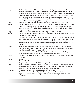| Judge   | That is not our concern. What we wish to prove is that ye have consulted with<br>necromancers to the abuse of the people of this realm by promising them long life. But    |
|---------|----------------------------------------------------------------------------------------------------------------------------------------------------------------------------|
|         | ye have compounded this crime by associating with witches. These crimes are expressly                                                                                      |
|         | forbidden by the Witchcraft Act that was given the Royal Assent by our late Queen, Mary,                                                                                   |
| Napier  | she of blessed memory, mother to our present sovereign. Know ye of this law?<br>I know of it. What I have done was in mercy for those that are afflicted. I gave them aid. |
|         | Shall ye hang me for doing my Christian duty?                                                                                                                              |
| Judge   | We shall see. Did ye entertain mischief that would place in peril the King's life?                                                                                         |
| Napier  | [sobbing] I am shamed by your words, Sir, for I respect the King's person. I did not care                                                                                  |
|         | for My Lord Bothwell, for he is a man of cold nature. He promised much yet he has                                                                                          |
|         | beguiled us with soft words. If I am to die because of my service to him, I die without a                                                                                  |
|         | single groat of gain.                                                                                                                                                      |
| Judge   | What have ye to tell the assize of your accomplice Agnes Sampson?                                                                                                          |
| Napier  | I recall at Achesoon's Haven or mayhap North Berwick Kirk that she said these words to                                                                                     |
|         | the devil, who was present:                                                                                                                                                |
|         | 'We have a turn to do and we would fain be at it if we could, so therefore help us to do it'                                                                               |
|         | The devil answered that twould be difficult but we prepared a wax picture of the King.                                                                                     |
|         | Before that, we were bidden to roast a toad and caught its venom in a cup, then we                                                                                         |
|         | mixed it with the skin of an adder and the thing that is present on the forehead of a new-                                                                                 |
|         | born child.                                                                                                                                                                |
| Judge   | Ye advert to the caul which they say is a charm against drowning. That is of interest to                                                                                   |
|         | the assize, for the coven at North Berwick was intent upon drowning the King. Why so                                                                                       |
|         | was the caul added to the hellish brew?                                                                                                                                    |
| Napier  | I cannot say. Twas My Lord Bothwell's intent to cast the mixture upon the King's person<br>as he rode through the streets of Leith to embark upon his journey.             |
| Judge   | And when the hellish potion did not work its evil effects, a wax picture of the King was                                                                                   |
|         | fashioned.                                                                                                                                                                 |
| Napier  | Tis so.                                                                                                                                                                    |
| Judge   | Are ye with child?                                                                                                                                                         |
| Napier  | Aye, sir, a Christian man's child. Shall ye spare it?                                                                                                                      |
| Judge   | That is not for this assize to decide. Go ye from this place to await the judgement that                                                                                   |
|         | shall be passed upon ye. [Napier is led away] Now I call upon the woman callit Bessie                                                                                      |
|         | Thomson. [She is brought in] Are ye of the name Bessie Thomson?                                                                                                            |
| Thomson | Aye, that I am. I am friend to Geilie Duncan of Travernent                                                                                                                 |
| Judge   | This may damn ye for the saying of it. Were ye present at Acheson's Haven upon the                                                                                         |
|         | night a wax picture of our Sovereign Lord James the Sixth was passed among the                                                                                             |
|         | assembly?                                                                                                                                                                  |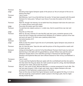| Thomson          | Aye.                                                                                                                                                                                                                                                                                                                                                                      |
|------------------|---------------------------------------------------------------------------------------------------------------------------------------------------------------------------------------------------------------------------------------------------------------------------------------------------------------------------------------------------------------------------|
| Judge            | And did ye hear Agnes Sampson speak of the picture as 'the art and part of the turn to<br>destroy the King'?                                                                                                                                                                                                                                                              |
| Thomson          | I ken it nocht.                                                                                                                                                                                                                                                                                                                                                           |
| Judge            | Well Mistress, I put it to ye that did hear the words. Ye have been acquaint with the panel<br>Sampson for many years. Twill go in your favour if ye avise the assize on her former<br>crimes.                                                                                                                                                                            |
| Thomson          | Weel Sir, though it be hearsay, tis my belief that Anny Sampson hath done the same turn<br>wi' a waxen picture some years afore.                                                                                                                                                                                                                                          |
| Judge            | Pray avise the assize upon the matter.                                                                                                                                                                                                                                                                                                                                    |
| Thomson          | Tis said that she maked a picture o' a noble man, that he would thrive nae mair and<br>perish                                                                                                                                                                                                                                                                             |
| Judge            | Pray tell us of the man                                                                                                                                                                                                                                                                                                                                                   |
| Thomson          | Weel sir, the way I heered of it was that My Lady Jean Lyons, sometime spouse to His<br>Grace the Earl of Angus did command Anny Sampson for to fashion a picture of her man<br>and work evil upon it, for there was a jealousy atwixt them                                                                                                                               |
| Judge            | And what became of it?                                                                                                                                                                                                                                                                                                                                                    |
| Thomson          | I ken nocht.                                                                                                                                                                                                                                                                                                                                                              |
| Judge            | Shall ye avise the assize if upon the eve of Lammastide, Agnes Sampson was present at<br>Acheson's Haven?                                                                                                                                                                                                                                                                 |
| Thomson          | Aye, sir, that she were. Twas she who said the picture of the King would be roastit until<br>he were nae mair                                                                                                                                                                                                                                                             |
| Sampson<br>Judge | [rising and shouting] Tis a rank lie! Ye foul fiend Bessie Thomson that ill uses my name so!<br>[hammering on the table with his gavel] Silence, woman! Others have said the same!<br>[Sampson slumps down in her seat] Now [turning to Thomson] tis said that Agnes<br>Sampson and Euphemia MacLean were offered rewards for their evil by Lord Bothwell. Is<br>that so? |
| Thompson         | I ken it nocht                                                                                                                                                                                                                                                                                                                                                            |
| Judge            | Tis also said that Euphemia MacLean spake with the Lord Bothwell and that she said to<br>him that when the King was dead, the realm would not want for a King. And that Bothwell<br>would give her riches. Did ye hear the words?                                                                                                                                         |
| Thomson          | Nay, sir, I ken nocht of that. Mistress MacLean is a woman possessed of much siller. She<br>has nae need of gowd. If offer of gain was made, twas to Agnes Sampson who was<br>promised it if she fashioned a waxen picture of the King.                                                                                                                                   |
| Judge            | Twas not the only evil deed that Agnes Sampson would use against the King. Is it not so<br>that she would lay a toad washed in adder's poison in the King's path, that he might<br>thereby forfeit his life?                                                                                                                                                              |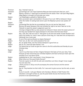| Thomson                | Aye, I heered it was so                                                                                                                                                                                         |
|------------------------|-----------------------------------------------------------------------------------------------------------------------------------------------------------------------------------------------------------------|
| Sampson                | [screaming] Liar! Liar! Twas Euphemia MacLean that would work that turn, not I!                                                                                                                                 |
| Judge                  | Silence, woman or I shall have ye removed from the assize. Now I call upon Meg Bogton.<br>[Meg Bogton is brought in] Pray state your name                                                                       |
|                        | I am Meg Bogton, guidwife of Spilmersford.                                                                                                                                                                      |
| <b>Bogton</b><br>Judge | Were ye present upon Lammastide in the year of our Lord 1589 at Acheson's Haven                                                                                                                                 |
|                        | when the matter of casting toad venom upon His Majesty's person was spoken of?                                                                                                                                  |
| Bogton                 | I was                                                                                                                                                                                                           |
| Sampson                | [screaming] She lies like her accomplices! Can you not see her false face?                                                                                                                                      |
| Judge                  | Remove the panel Sampson! She has forfeited her right to be here! Take her to the<br>Tolbooth to await the assize's judgement upon her.                                                                         |
|                        | [Turning to Bogton] Were ye also present at Acheson's Haven when the waxen picture of<br>the King was handed from Agnes Sampson to the divers folk that were there?                                             |
| Bogton                 | Aye, I was. But I did not curse it. Twas given to me from the hands of Janet Stratton and I<br>held it but briefly, for I kent it was a picture of the King, for I had seen him at Holyrood in                  |
|                        | Edinburgh toun a year past                                                                                                                                                                                      |
| Judge                  | Ye are of the same profession as Agnes Sampson?                                                                                                                                                                 |
| <b>Bogton</b>          | That I am, sir. But I am nocht possesit of her evil                                                                                                                                                             |
| Judge                  | Ah, we speak freely, now the woman Sampson is gone from us                                                                                                                                                      |
| Bogton                 | Aye sir, for I have aye been feared o' her                                                                                                                                                                      |
| Judge                  | Too feared that ye could not give her name to the Kirk authorities and thereby do your                                                                                                                          |
|                        | Christian duty                                                                                                                                                                                                  |
| <b>Bogton</b>          | Aye sir                                                                                                                                                                                                         |
| Judge                  | I put it to ye that twas not fear of Agnes Sampson that kept ye from your duty. Twas<br>because ye have renounced your Christian baptism and have turned your back upon the<br>worship of our Lord Jesus Christ |
| Bogton                 | [sobbing] Aye sir. But I was feared o' Anny Sampson tae.                                                                                                                                                        |
| Judge                  | What know ye of the panel Geilie Duncan?                                                                                                                                                                        |
| Bogton                 | That she is given to sit with the seik and erstwhiles cure them, though I know naught<br>how she does this                                                                                                      |
| Judge                  | I think ye know it. Did ye not aft accompany the woman Duncan and the woman<br>Sampson?                                                                                                                         |
| Bogton                 | Aye sir. They teached me their skills. For I was wont to give succour tae the seik, as were<br>they.                                                                                                            |
| Judge                  | So be it recordit. I call upon Maister John Davidson, Minister of Salt Preston Kirk<br>[Davidson is brought in] Now sir, was the panel Geilie Duncan the foremost of the<br>prisoners to be examined by ye?     |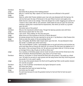| Davidson          | She was                                                                                                                                                                                                                                                                                                                                                                                                                                                                           |
|-------------------|-----------------------------------------------------------------------------------------------------------------------------------------------------------------------------------------------------------------------------------------------------------------------------------------------------------------------------------------------------------------------------------------------------------------------------------------------------------------------------------|
| Judge             | And what did ye jalouse of her healing powers?                                                                                                                                                                                                                                                                                                                                                                                                                                    |
| Davidson          | Why sir, I cannot say. May I speak of a man that was sore afflicted in this parish?                                                                                                                                                                                                                                                                                                                                                                                               |
| Judge             | Ye may                                                                                                                                                                                                                                                                                                                                                                                                                                                                            |
| Davidson          | Weel sir, within Salt Preston abided a poor man who was diseased with the leprosy. He<br>told me that upon the day of Pentecost in the year fifteen hunnert and aughty nine,<br>Geilie Duncan came to his cottage. There she did gie him a shiel- begging your pardon sir<br>I meant it was a shell- fillit wi' ane ointment. Geilie bade him tae put upon his sores the<br>ointment, saying that it would heal his impostumes, that which ye would cry a growth<br>upon the skin |
| Judge             | And what came of the potion?                                                                                                                                                                                                                                                                                                                                                                                                                                                      |
| Davidson<br>Judge | Why sir, the impostume witherit away. Though the leprosy pustules were still there<br>Was Duncan payed siller for this cure?                                                                                                                                                                                                                                                                                                                                                      |
| Davidson          | I ken nocht. Twas unlikely, for the man was poor.                                                                                                                                                                                                                                                                                                                                                                                                                                 |
| Judge             | What know ye of the business at the Kirk of North Berwick?                                                                                                                                                                                                                                                                                                                                                                                                                        |
| Davidson          | Ah wisnae present but this was reported to me by ain o' my Brethren in Salt Preston Kirk                                                                                                                                                                                                                                                                                                                                                                                          |
| Judge             | Shall ye avise this assize of the proceedings there?                                                                                                                                                                                                                                                                                                                                                                                                                              |
| Davidson          | Aye, richt gladly. Ma Brither elder keepit watch upon the kirk. He was blessed to hear<br>the words o' a hellish pact which went thus:                                                                                                                                                                                                                                                                                                                                            |
|                   | "My Lord and Maister Lucifer, I acknowledge thee as my god and prince and promise tae<br>serve and obey thee as long as Ah shall live. Ah renunce the ither god, the baptism an' a'<br>the merits o' the Lord Jesus Christ. An' Ah sall serve and adore thee an' if Ah do not pay<br>ye homage thrice a day, Ah gie ye ma life as thine own."                                                                                                                                     |
| Judge             | Tis a mockery of Christian prayer and an insult not only to God and the Christ but to the<br>Kirk of Scotland. Reverend Davidson, pray avise us if ye have more.                                                                                                                                                                                                                                                                                                                  |
| Davidson          | Weel sir, ma brother in Christ heered the Devil who was present I' the pulpit as a black<br>man. He bade his servants to open graves and tak away bones that they micht be ground<br>tae pooder for to be used in spells.                                                                                                                                                                                                                                                         |
| Judge             | Can ye say what passed atween the Devil and his gathering? Were words spoken atween<br>him and the accused?                                                                                                                                                                                                                                                                                                                                                                       |
| Davidson          | Aye, sir. But ma Brither remembered only Agnes Sampson's words.                                                                                                                                                                                                                                                                                                                                                                                                                   |
| Judge             | And what were they?                                                                                                                                                                                                                                                                                                                                                                                                                                                               |
| Davidson          | She asked the Devil why he hated the King                                                                                                                                                                                                                                                                                                                                                                                                                                         |
| Judge             | And what was his reply?                                                                                                                                                                                                                                                                                                                                                                                                                                                           |
| Davidson          | He said twas because he was the greatest enemy he had and that he had nae pow'r<br>against him                                                                                                                                                                                                                                                                                                                                                                                    |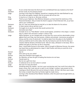| Judge       | Ye are certain that twas the Devil and not Lord Bothwell that was masked as the Devil?                                                        |
|-------------|-----------------------------------------------------------------------------------------------------------------------------------------------|
| Davidson    | Ah ken nocht, for Ah wasnae present                                                                                                           |
| Judge       | [turning to the King] Your Majesty, twould be in keeping with the rebel Bothwell to say                                                       |
|             | the words and appear masked, that his servants did not ken him                                                                                |
| <b>King</b> | It may be so, it may be so. But pray continue                                                                                                 |
| Judge       | Thank ye your Highness. Now Mistress Sampson, ye have heard the testimony of the                                                              |
|             | Reverend Davidson. Did ye invoke the Devil to appear in North Berwick Kirk, as ye have<br>said in your confession?                            |
| Sampson     | Aye, for I was sore afraid that he had left us to take the blame for his actions                                                              |
| Judge       | In what manner did ye call him to ye?                                                                                                         |
| Sampson     | He taught me to say the words that would summon him                                                                                           |
| Judge       | And what were they?                                                                                                                           |
| Sampson     | He bade me to cry "Hola Master" and he would appear, sometime in the shape o' a black<br>dog or a black man and aince a sheaf o' straw or hay |
| Judge       | Agnes Sampson, ye are charged with no less than four score and ten abominable crimes                                                          |
|             | against God, your King, men and women, children and animals. I pronounce ye guilty of                                                         |
|             | heresy and the crime of witchcraft. Ye shall be taken from this place to the Castlehill,                                                      |
|             | where ye shall be werrit at the stake, then thy foul body be cast into the fire that your                                                     |
|             | remains shall be denied a Christian burial. Take her away. [Sampson is led away. She is                                                       |
|             | defiant and spits on the floor as she is removed].                                                                                            |
| Judge       | Now, I recall Geilie Duncan to the assize. [She is brought in] Mistress Duncan, the assize                                                    |
|             | has heard that ye administered to a leper in Salt Preston and that ye cured him of an                                                         |
|             | impostume. Is that so?                                                                                                                        |
| Duncan      | Aye sir.                                                                                                                                      |
| Judge       | How came ye by your skills?                                                                                                                   |
| Duncan      | Twas Anny Sampson that taught me                                                                                                              |
| Judge       | So, Mistress, ye have the gift of healing that doctors do not have.                                                                           |
| Duncan      | Twould seem so                                                                                                                                |
| Judge       | But tis not a gift from God.                                                                                                                  |
| Duncan      | It mattered not to me from whom it comed                                                                                                      |
| Judge       | Not even if it were the Devil?                                                                                                                |
| Duncan      | [breaking down] Oh maister, I am but a poor serving lass and I ken nocht from where the                                                       |
|             | power comes. But I took nae airt or pairt in evil, though I confess I was present at the                                                      |
|             | meetings at North Berwick Kirk and at Acheson's Haven. All that I did there was to play                                                       |
|             | the tromp or Jewish Harp that my friends might be made merry.                                                                                 |
| Judge       | [turning to Rev Davidson] Now Maister Davidson, when the panel was brought before ye,<br>what did she?                                        |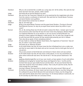| Davidson | Why sir, she scraiched like a scaldit cat, crying 'pity me!' all the whiles. She said she had<br>done nae herm tae man, woman, child or beast.                                                                                                                                                                                                                                                                                           |
|----------|------------------------------------------------------------------------------------------------------------------------------------------------------------------------------------------------------------------------------------------------------------------------------------------------------------------------------------------------------------------------------------------------------------------------------------------|
| Judge    | And what did ye and the Brethren do next?                                                                                                                                                                                                                                                                                                                                                                                                |
| Davidson | We carrit her tae Travernent Tolbooth for to be examined be the magistrates who drew<br>from the crature a confession of witchcraft. She said that her friends Bessie Thomson<br>and Janet Stratton were guiltless.                                                                                                                                                                                                                      |
| Judge    | She named these women but no others?                                                                                                                                                                                                                                                                                                                                                                                                     |
| Davidson | Nay sir. Ah mean aye.                                                                                                                                                                                                                                                                                                                                                                                                                    |
| Judge    | Bring in the panel Bessie Thomson and the panel Janet Stratton. [Turning to Duncan]<br>Now Mistress Duncan, for why do ye acquit those women above any others in your<br>coven?                                                                                                                                                                                                                                                          |
| Duncan   | Oh, sir. By naming these two Ah did not seek to abuse the ithers. I answer upon my soul<br>and conscience afore God that Ah have Ah never knew Anny Sampson, Barbara Napier<br>nor Euphemia Maclean for to be witches or use ony sorcery at North Berwick nor<br>Acheson's Haven against His Majesty's noble person. No, nor John Fian, though Ah telt<br>he with God and that the women Ah hae named shall presently join him in Heaven |
| Judge    | Then why did ye speak of their wickedness before?                                                                                                                                                                                                                                                                                                                                                                                        |
| Duncan   | Ah was made to confess be Maister David Seton, the magistrate at Travernent. Twas all<br>lies, for which I crave God's pardon                                                                                                                                                                                                                                                                                                            |
| Judge    | And what say ye, Mistress Stratton                                                                                                                                                                                                                                                                                                                                                                                                       |
| Stratton | As Ah shall answer tae God, Ah never knew the Earl of Bothwell but to be a noble man<br>and that he never dealt in the black airts as he is accusit, that he micht gain the hurt of<br>ony person.                                                                                                                                                                                                                                       |
| Judge    | Yet ye were present at North Berwick and Acheson's Haven where evil was worked.                                                                                                                                                                                                                                                                                                                                                          |
| Stratton | As Ah shall answer tae God, Ah was never in they places, no nor ony conventions nor<br>place where witchcraft was done. Nor did Ah ken o' the wax picture fashioned o' the<br><b>King</b>                                                                                                                                                                                                                                                |
| Judge    | [gasping disbelievingly] But out of your own mouth, ye have spoken of such evils before.                                                                                                                                                                                                                                                                                                                                                 |
| Stratton | [sobbing and wringing her hands] Twas fause and feigned for fear o' ma life and the<br>torment that was put upon Geilie Duncan and the ithers. Ah wis sore feered that the<br>same fate would be mine if Ah didnae confess. That is why Ah said the words, that Ah<br>micht escape the cruel dealin'.                                                                                                                                    |
| Judge    | [turning to Bessie Thomson] And no doubt ye have the same excuse? What say ye?                                                                                                                                                                                                                                                                                                                                                           |
| Thomson  | As God be ma witness, Ah never meant ony herm tae the King nor ony ither living soul.<br>Ah confessit Ah was at North Berwick Kirk and Acheson's Haven, but the things that<br>were said and the deeds done there were fause. For Ah dinnae believe in witchcraft, nor<br>do Ah worship ony ither than oor Lord Jesus Christ.                                                                                                            |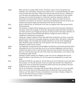| Judge       | Well, well, this is a pretty kettle of fish. The Devil's craft is more cunning than any<br>Christian man could fathom. We give him credit for that. It is well kenned that he makes<br>of his servants liars and slaves. These three women have proven the turn. [Getting up<br>from the desk and walking about the stage, to address the audience] Ye here present<br>this day, know ye that the penalty for crimes that cannot be repaired is death. For<br>witchcraft is an abomination that exists in this realm. When its master the Devil is |
|-------------|----------------------------------------------------------------------------------------------------------------------------------------------------------------------------------------------------------------------------------------------------------------------------------------------------------------------------------------------------------------------------------------------------------------------------------------------------------------------------------------------------------------------------------------------------|
|             | frustrated in his devices, he resorts to calumnies and falsehoods, that his servants, the                                                                                                                                                                                                                                                                                                                                                                                                                                                          |
| King        | witches and warlocks might save themselves from the fire of the law.<br>Verily it shall be thus, for witchcraft is not only a sin against man's law but also God's.<br>Pray proceed sir.                                                                                                                                                                                                                                                                                                                                                           |
| Judge       | The sentence of death shall be passed upon such as those that have been examined in<br>this place, those that are guilty of witchcraft, abusing the people with false remedies to<br>cure them and the use of images and poisons to bring an end to the King's noble life. For<br>that was the intent of the North Berwick Witches, though the most of them are<br>residenters of Salt Preston and beyond.                                                                                                                                         |
| King        | [rising up in anger] Ye speak of those that await their punishment, yet there is one that<br>was set free to roam the countryside, doing her evil upon others. We advert to Mistress<br>Barbara Napier, who was lately and unjustly released on account of her pleading her<br>belly. Shall this assize condemn her in her absence, that she may be brought to the<br>Tolbooth to answer for her crimes?                                                                                                                                           |
| Judge       | Your Highness, tis said that the woman Napier has fled the country and cannot be found.                                                                                                                                                                                                                                                                                                                                                                                                                                                            |
| <b>King</b> | [thumping the arm of his chair] Aye, much to our extreme displeasure, that one that is<br>clothed in her guilt is free to roam the earth and work more mischief. Yet justice will be<br>done, for if she set foot upon the soil of this realm, she shall answer to us in person and<br>be sentenced under the law.                                                                                                                                                                                                                                 |
| Judge       | [bowing] I humbly comply, your Majesty. It was not I but my colleagues who set the<br>woman at liberty. I was not party to it, for this assize has weakened me in spirit and<br>body.                                                                                                                                                                                                                                                                                                                                                              |
| King        | [waving his hand] Yes, yes, good sir. Yet see that ye are not incontinent in your duty upon<br>this occasion. Is it the will and wish of this our assize that all held in the Tolbooth are<br>guilty of the crime of witchcraft and that they shall receive the due penalty of the law?                                                                                                                                                                                                                                                            |
| Judge       | It shall be as you command, your Majesty.                                                                                                                                                                                                                                                                                                                                                                                                                                                                                                          |
| King        | We do not command it, we expect that the law shall be observed. For it is our bounden<br>duty to rid our fair land of the filthy abomination of witchcraft. Does not God's Book<br>instruct us in this matter? His holy commandment is writ clear in Exodus, Chapter 22,<br>verse 18. We shall remind ye of what is commanded.<br>'Thou shalt not suffer a witch to live'.                                                                                                                                                                         |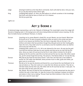Judge [bowing] It shall be as the Holy Book commands. God's will shall be done. And your own, for ye rule this land by God's divine right. King [nodding] Well spoken, sir. Now, we shall adjourn to refresh ourselves in the knowledge that God's will shall be done on Earth as it is in Heaven. We bid you good day

Lights out.

# **Act 3: Scene 2**

[A darkened stage representing a cell in the Tolbooth of Edinburgh The muted light comes from stage left. Sounds of dripping water in the background, with doors being bolted and distant voices moaning. On the floor lie Geilie Duncan and Bessie Thomson, in chains]

| Duncan  | [reaching out to caress Bessie's cheek] Oh, ma puir Bessie, ma true freend. What have<br>Ah brocht ye to? Ye were my good companion when we went to the schule and were<br>brocht to our lessons by Dominie Fian, him that is long deid. We are the last o' the<br>brithers and sisters that hae perished, though they did guid works be their healing gifts.<br>Upon the morn, they shall come for us and lead us tae the Castlehill, where we shall be<br>werrit and cast intil the fire. |
|---------|---------------------------------------------------------------------------------------------------------------------------------------------------------------------------------------------------------------------------------------------------------------------------------------------------------------------------------------------------------------------------------------------------------------------------------------------------------------------------------------------|
| Thomson | <i>[sobbing]</i> Gelie, speak ye no' of it. Ah'm sair afeered for the morn. Ah pray tae the guid<br>Lord that the lockman shall dae his work quickly and that we be not cast intil the fire<br>alive. Aince as a bairn Ah wis burnt be the fire in mah mither's kitchen for Ah did fa'<br>asleep be the fire and the coals fell at ma feet and set fire tae ma claes. Ma mither saved<br>me, yet Ah cannae forget the burning. The picture o' the flames bides wi' me tae this day.         |
| Duncan  | Why did we pay heed tae the fause words o' John Fian, him that was a man skilled in<br>words? An' the noble man Bothwell, whae promisit much in siller, guids and vittles, yet<br>gave none to us and oors.                                                                                                                                                                                                                                                                                 |
| Thomson | We did so for he was the dominie and feered him, as we feered the man Bothwell, for he<br>was set above us. They men used us in a wey that men dinnae use women. They tak us<br>intil their beds and hae their wey. Ma mither telt me Ah wud hae tae bear. A wee pain. Tis<br>less than what we face upon the morn.                                                                                                                                                                         |
| Duncan  | Aye, Bessie. We were ill-used be Fian and Bothwell. A' that Ah enterprised tae dae was to<br>comfort the seik in their beds. An' play the tromp at the meetings to please ma brithers<br>and sisters in their merry making. The puir fowk hae little kindness in their time. Whit<br>herm can a wee bit music dae?                                                                                                                                                                          |